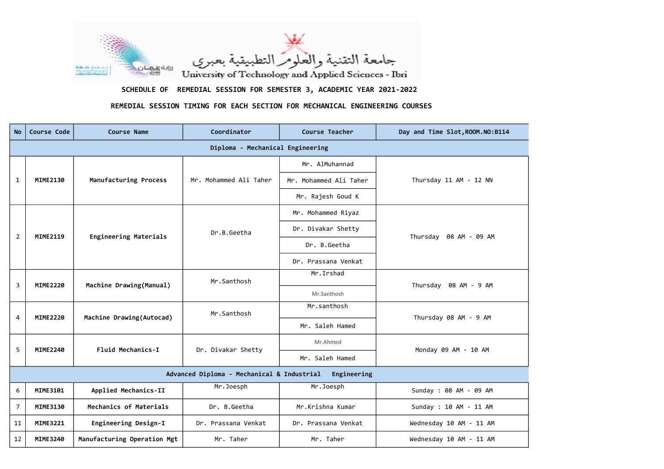| <b>No</b>                                              | Course Code     | <b>Course Name</b>           | Coordinator            | Course Teacher         | Day and Time Slot, ROOM. NO: B114 |  |  |  |
|--------------------------------------------------------|-----------------|------------------------------|------------------------|------------------------|-----------------------------------|--|--|--|
| Diploma - Mechanical Engineering                       |                 |                              |                        |                        |                                   |  |  |  |
| $\mathbf{1}$                                           | <b>MIME2130</b> | Manufacturing Process        | Mr. Mohammed Ali Taher | Mr. AlMuhannad         | Thursday 11 AM - 12 NN            |  |  |  |
|                                                        |                 |                              |                        | Mr. Mohammed Ali Taher |                                   |  |  |  |
|                                                        |                 |                              |                        | Mr. Rajesh Goud K      |                                   |  |  |  |
| $\overline{2}$                                         | <b>MIME2119</b> | <b>Engineering Materials</b> | Dr.B.Geetha            | Mr. Mohammed Riyaz     | Thursday 08 AM - 09 AM            |  |  |  |
|                                                        |                 |                              |                        | Dr. Divakar Shetty     |                                   |  |  |  |
|                                                        |                 |                              |                        | Dr. B.Geetha           |                                   |  |  |  |
|                                                        |                 |                              |                        | Dr. Prassana Venkat    |                                   |  |  |  |
| $\overline{3}$                                         | <b>MIME2220</b> | Machine Drawing(Manual)      | Mr.Santhosh            | Mr. Irshad             | Thursday 08 AM - 9 AM             |  |  |  |
|                                                        |                 |                              |                        | Mr.Santhosh            |                                   |  |  |  |
|                                                        | <b>MIME2220</b> | Machine Drawing(Autocad)     | Mr.Santhosh            | Mr.santhosh            | Thursday 08 AM - 9 AM             |  |  |  |
| 4                                                      |                 |                              |                        | Mr. Saleh Hamed        |                                   |  |  |  |
| 5                                                      | <b>MIME2240</b> | Fluid Mechanics-I            | Dr. Divakar Shetty     | Mr.Ahmed               | Monday 09 AM - 10 AM              |  |  |  |
|                                                        |                 |                              |                        | Mr. Saleh Hamed        |                                   |  |  |  |
| Advanced Diploma - Mechanical & Industrial Engineering |                 |                              |                        |                        |                                   |  |  |  |
| 6                                                      | <b>MIME3101</b> | Applied Mechanics-II         | Mr.Joesph              | Mr.Joesph              | Sunday: 08 AM - 09 AM             |  |  |  |
| $\overline{7}$                                         | <b>MIME3130</b> | Mechanics of Materials       | Dr. B.Geetha           | Mr.Krishna Kumar       | Sunday : 10 AM - 11 AM            |  |  |  |
| 11                                                     | <b>MIME3221</b> | Engineering Design-I         | Dr. Prassana Venkat    | Dr. Prassana Venkat    | Wednesday 10 AM - 11 AM           |  |  |  |
| 12                                                     | <b>MIME3240</b> | Manufacturing Operation Mgt  | Mr. Taher              | Mr. Taher              | Wednesday 10 AM - 11 AM           |  |  |  |





SCHEDULE OF REMEDIAL SESSION FOR SEMESTER 3, ACADEMIC YEAR 2021-2022

## REMEDIAL SESSION TIMING FOR EACH SECTION FOR MECHANICAL ENGINEERING COURSES